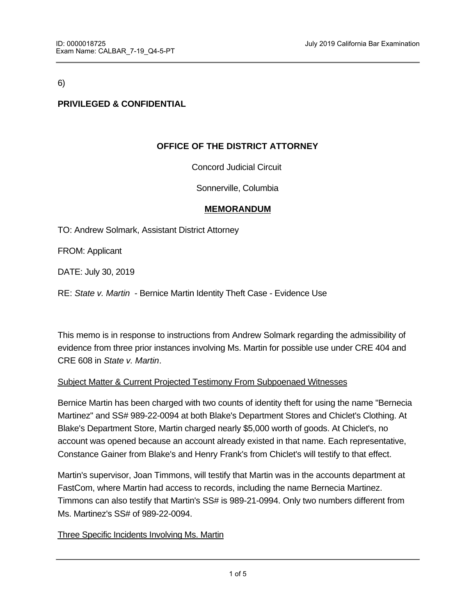6)

# **PRIVILEGED & CONFIDENTIAL**

# **OFFICE OF THE DISTRICT ATTORNEY**

Concord Judicial Circuit

Sonnerville, Columbia

#### **MEMORANDUM**

TO: Andrew Solmark, Assistant District Attorney

FROM: Applicant

DATE: July 30, 2019

RE: *State v. Martin* - Bernice Martin Identity Theft Case - Evidence Use

This memo is in response to instructions from Andrew Solmark regarding the admissibility of evidence from three prior instances involving Ms. Martin for possible use under CRE 404 and CRE 608 in *State v. Martin*.

### Subject Matter & Current Projected Testimony From Subpoenaed Witnesses

Bernice Martin has been charged with two counts of identity theft for using the name "Bernecia Martinez" and SS# 989-22-0094 at both Blake's Department Stores and Chiclet's Clothing. At Blake's Department Store, Martin charged nearly \$5,000 worth of goods. At Chiclet's, no account was opened because an account already existed in that name. Each representative, Constance Gainer from Blake's and Henry Frank's from Chiclet's will testify to that effect.

Martin's supervisor, Joan Timmons, will testify that Martin was in the accounts department at FastCom, where Martin had access to records, including the name Bernecia Martinez. Timmons can also testify that Martin's SS# is 989-21-0994. Only two numbers different from Ms. Martinez's SS# of 989-22-0094.

#### Three Specific Incidents Involving Ms. Martin

In order to more clearly discuss the three incidents as they relate to substantive and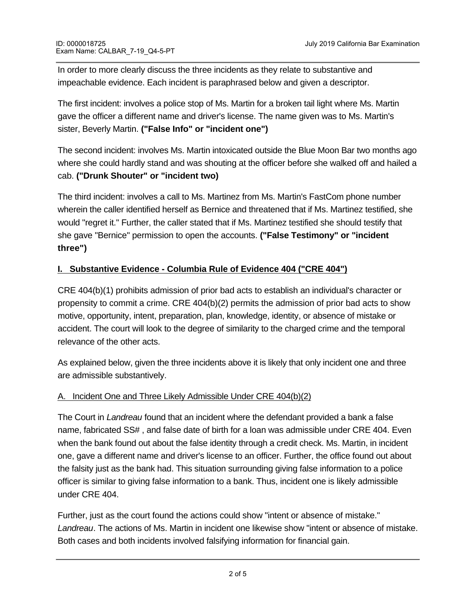In order to more clearly discuss the three incidents as they relate to substantive and impeachable evidence. Each incident is paraphrased below and given a descriptor.

The first incident: involves a police stop of Ms. Martin for a broken tail light where Ms. Martin gave the officer a different name and driver's license. The name given was to Ms. Martin's sister, Beverly Martin. **("False Info" or "incident one")**

The second incident: involves Ms. Martin intoxicated outside the Blue Moon Bar two months ago where she could hardly stand and was shouting at the officer before she walked off and hailed a cab. **("Drunk Shouter" or "incident two)**

The third incident: involves a call to Ms. Martinez from Ms. Martin's FastCom phone number wherein the caller identified herself as Bernice and threatened that if Ms. Martinez testified, she would "regret it." Further, the caller stated that if Ms. Martinez testified she should testify that she gave "Bernice" permission to open the accounts. **("False Testimony" or "incident three")**

# **I. Substantive Evidence - Columbia Rule of Evidence 404 ("CRE 404")**

CRE 404(b)(1) prohibits admission of prior bad acts to establish an individual's character or propensity to commit a crime. CRE 404(b)(2) permits the admission of prior bad acts to show motive, opportunity, intent, preparation, plan, knowledge, identity, or absence of mistake or accident. The court will look to the degree of similarity to the charged crime and the temporal relevance of the other acts.

As explained below, given the three incidents above it is likely that only incident one and three are admissible substantively.

### A. Incident One and Three Likely Admissible Under CRE 404(b)(2)

The Court in *Landreau* found that an incident where the defendant provided a bank a false name, fabricated SS# , and false date of birth for a loan was admissible under CRE 404. Even when the bank found out about the false identity through a credit check. Ms. Martin, in incident one, gave a different name and driver's license to an officer. Further, the office found out about the falsity just as the bank had. This situation surrounding giving false information to a police officer is similar to giving false information to a bank. Thus, incident one is likely admissible under CRE 404.

Further, just as the court found the actions could show "intent or absence of mistake." *Landreau*. The actions of Ms. Martin in incident one likewise show "intent or absence of mistake. Both cases and both incidents involved falsifying information for financial gain.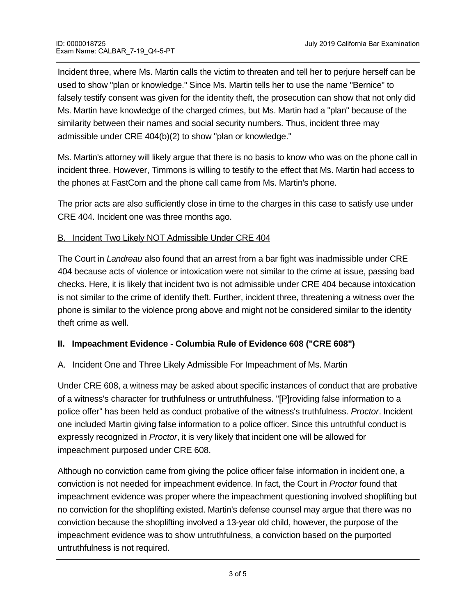Incident three, where Ms. Martin calls the victim to threaten and tell her to perjure herself can be used to show "plan or knowledge." Since Ms. Martin tells her to use the name "Bernice" to falsely testify consent was given for the identity theft, the prosecution can show that not only did Ms. Martin have knowledge of the charged crimes, but Ms. Martin had a "plan" because of the similarity between their names and social security numbers. Thus, incident three may admissible under CRE 404(b)(2) to show "plan or knowledge."

Ms. Martin's attorney will likely argue that there is no basis to know who was on the phone call in incident three. However, Timmons is willing to testify to the effect that Ms. Martin had access to the phones at FastCom and the phone call came from Ms. Martin's phone.

The prior acts are also sufficiently close in time to the charges in this case to satisfy use under CRE 404. Incident one was three months ago.

### B. Incident Two Likely NOT Admissible Under CRE 404

The Court in *Landreau* also found that an arrest from a bar fight was inadmissible under CRE 404 because acts of violence or intoxication were not similar to the crime at issue, passing bad checks. Here, it is likely that incident two is not admissible under CRE 404 because intoxication is not similar to the crime of identify theft. Further, incident three, threatening a witness over the phone is similar to the violence prong above and might not be considered similar to the identity theft crime as well.

### **II. Impeachment Evidence - Columbia Rule of Evidence 608 ("CRE 608")**

### A. Incident One and Three Likely Admissible For Impeachment of Ms. Martin

Under CRE 608, a witness may be asked about specific instances of conduct that are probative of a witness's character for truthfulness or untruthfulness. "[P]roviding false information to a police offer" has been held as conduct probative of the witness's truthfulness. *Proctor*. Incident one included Martin giving false information to a police officer. Since this untruthful conduct is expressly recognized in *Proctor*, it is very likely that incident one will be allowed for impeachment purposed under CRE 608.

Although no conviction came from giving the police officer false information in incident one, a conviction is not needed for impeachment evidence. In fact, the Court in *Proctor* found that impeachment evidence was proper where the impeachment questioning involved shoplifting but no conviction for the shoplifting existed. Martin's defense counsel may argue that there was no conviction because the shoplifting involved a 13-year old child, however, the purpose of the impeachment evidence was to show untruthfulness, a conviction based on the purported untruthfulness is not required.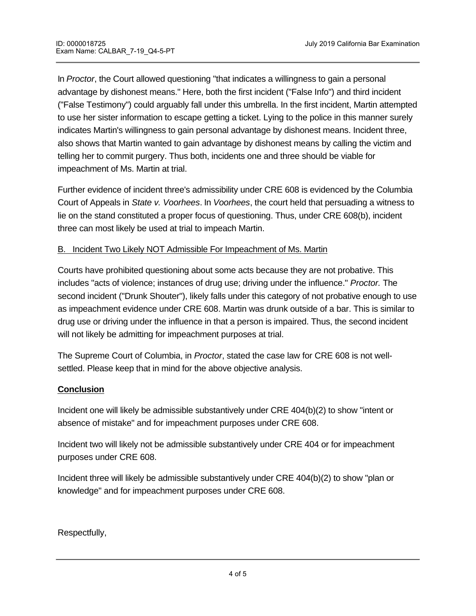In *Proctor*, the Court allowed questioning "that indicates a willingness to gain a personal advantage by dishonest means." Here, both the first incident ("False Info") and third incident ("False Testimony") could arguably fall under this umbrella. In the first incident, Martin attempted to use her sister information to escape getting a ticket. Lying to the police in this manner surely indicates Martin's willingness to gain personal advantage by dishonest means. Incident three, also shows that Martin wanted to gain advantage by dishonest means by calling the victim and telling her to commit purgery. Thus both, incidents one and three should be viable for impeachment of Ms. Martin at trial.

Further evidence of incident three's admissibility under CRE 608 is evidenced by the Columbia Court of Appeals in *State v. Voorhees*. In *Voorhees*, the court held that persuading a witness to lie on the stand constituted a proper focus of questioning. Thus, under CRE 608(b), incident three can most likely be used at trial to impeach Martin.

### B. Incident Two Likely NOT Admissible For Impeachment of Ms. Martin

Courts have prohibited questioning about some acts because they are not probative. This includes "acts of violence; instances of drug use; driving under the influence." *Proctor.* The second incident ("Drunk Shouter"), likely falls under this category of not probative enough to use as impeachment evidence under CRE 608. Martin was drunk outside of a bar. This is similar to drug use or driving under the influence in that a person is impaired. Thus, the second incident will not likely be admitting for impeachment purposes at trial.

The Supreme Court of Columbia, in *Proctor*, stated the case law for CRE 608 is not wellsettled. Please keep that in mind for the above objective analysis.

### **Conclusion**

Incident one will likely be admissible substantively under CRE 404(b)(2) to show "intent or absence of mistake" and for impeachment purposes under CRE 608.

Incident two will likely not be admissible substantively under CRE 404 or for impeachment purposes under CRE 608.

Incident three will likely be admissible substantively under CRE 404(b)(2) to show "plan or knowledge" and for impeachment purposes under CRE 608.

Respectfully,